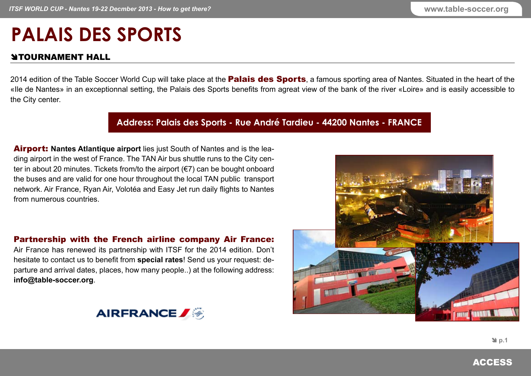## **PALAIS DES SPORTS**

## **STOURNAMENT HALL**

2014 edition of the Table Soccer World Cup will take place at the **Palais des Sports**, a famous sporting area of Nantes. Situated in the heart of the «Ile de Nantes» in an exceptionnal setting, the Palais des Sports benefits from agreat view of the bank of the river «Loire» and is easily accessible to the City center.

## **Address: Palais des Sports - Rue André Tardieu - 44200 Nantes - FRANCE**

Airport: **[Nantes Atlantique airport](http://www.nantes.aeroport.fr/ANA-English/Page/Default.aspx)** lies just South of Nantes and is the leading airport in the west of France. The TAN Air bus shuttle runs to the City center in about 20 minutes. Tickets from/to the airport (€7) can be bought onboard the buses and are valid for one hour throughout the local TAN public transport network. Air France, Ryan Air, Volotéa and Easy Jet run daily flights to Nantes from numerous countries.

## Partnership with the French airline company Air France:

Air France has renewed its partnership with ITSF for the 2014 edition. Don't hesitate to contact us to benefit from **special rates**! Send us your request: departure and arrival dates, places, how many people..) at the following address: **info@table-soccer.org**.